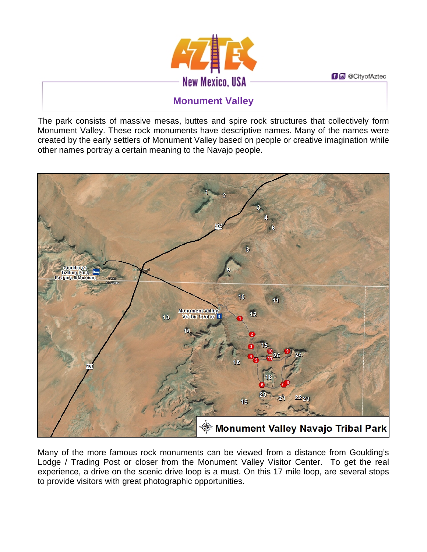**f d** @ CityofAztec



## **Monument Valley**

The park consists of massive mesas, buttes and spire rock structures that collectively form Monument Valley. These rock monuments have descriptive names. Many of the names were created by the early settlers of Monument Valley based on people or creative imagination while other names portray a certain meaning to the Navajo people.



Many of the more famous rock monuments can be viewed from a distance from Goulding's Lodge / Trading Post or closer from the Monument Valley Visitor Center. To get the real experience, a drive on the scenic drive loop is a must. On this 17 mile loop, are several stops to provide visitors with great photographic opportunities.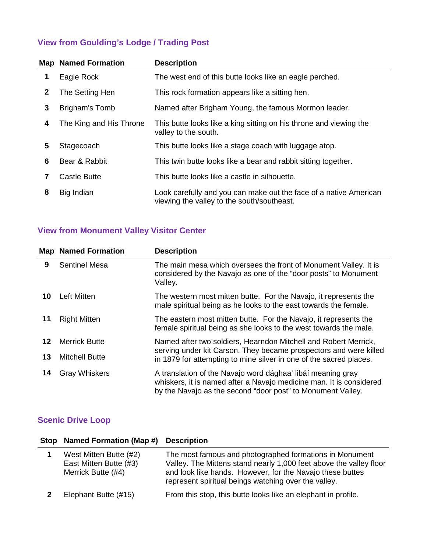## **View from Goulding's Lodge / Trading Post**

|   | <b>Map Named Formation</b> | <b>Description</b>                                                                                              |
|---|----------------------------|-----------------------------------------------------------------------------------------------------------------|
| 1 | Eagle Rock                 | The west end of this butte looks like an eagle perched.                                                         |
| 2 | The Setting Hen            | This rock formation appears like a sitting hen.                                                                 |
| 3 | Brigham's Tomb             | Named after Brigham Young, the famous Mormon leader.                                                            |
| 4 | The King and His Throne    | This butte looks like a king sitting on his throne and viewing the<br>valley to the south.                      |
| 5 | Stagecoach                 | This butte looks like a stage coach with luggage atop.                                                          |
| 6 | Bear & Rabbit              | This twin butte looks like a bear and rabbit sitting together.                                                  |
| 7 | Castle Butte               | This butte looks like a castle in silhouette.                                                                   |
| 8 | Big Indian                 | Look carefully and you can make out the face of a native American<br>viewing the valley to the south/southeast. |

## **View from Monument Valley Visitor Center**

|    | <b>Map Named Formation</b> | <b>Description</b>                                                                                                                                                                                |
|----|----------------------------|---------------------------------------------------------------------------------------------------------------------------------------------------------------------------------------------------|
| 9  | <b>Sentinel Mesa</b>       | The main mesa which oversees the front of Monument Valley. It is<br>considered by the Navajo as one of the "door posts" to Monument<br>Valley.                                                    |
| 10 | Left Mitten                | The western most mitten butte. For the Navajo, it represents the<br>male spiritual being as he looks to the east towards the female.                                                              |
| 11 | <b>Right Mitten</b>        | The eastern most mitten butte. For the Navajo, it represents the<br>female spiritual being as she looks to the west towards the male.                                                             |
| 12 | <b>Merrick Butte</b>       | Named after two soldiers, Hearndon Mitchell and Robert Merrick,                                                                                                                                   |
| 13 | <b>Mitchell Butte</b>      | serving under kit Carson. They became prospectors and were killed<br>in 1879 for attempting to mine silver in one of the sacred places.                                                           |
| 14 | <b>Gray Whiskers</b>       | A translation of the Navajo word dághaa' libáí meaning gray<br>whiskers, it is named after a Navajo medicine man. It is considered<br>by the Navajo as the second "door post" to Monument Valley. |

## **Scenic Drive Loop**

| <b>Stop</b> | Named Formation (Map #) Description                                    |                                                                                                                                                                                                                                                    |
|-------------|------------------------------------------------------------------------|----------------------------------------------------------------------------------------------------------------------------------------------------------------------------------------------------------------------------------------------------|
|             | West Mitten Butte (#2)<br>East Mitten Butte (#3)<br>Merrick Butte (#4) | The most famous and photographed formations in Monument<br>Valley. The Mittens stand nearly 1,000 feet above the valley floor<br>and look like hands. However, for the Navajo these buttes<br>represent spiritual beings watching over the valley. |
|             | Elephant Butte (#15)                                                   | From this stop, this butte looks like an elephant in profile.                                                                                                                                                                                      |